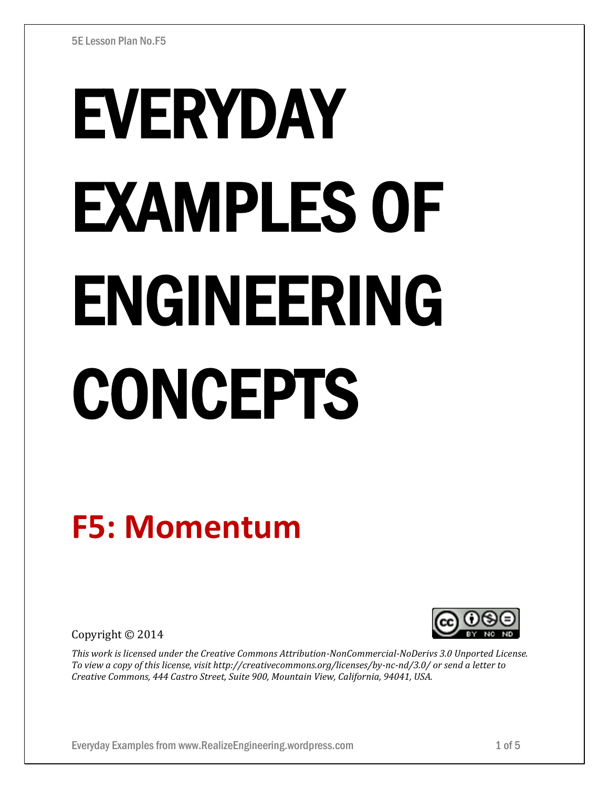# EVERYDAY EXAMPLES OF ENGINEERING CONCEPTS

# **F5: Momentum**

Copyright © 2014



*This work is licensed under the Creative Commons Attribution-NonCommercial-NoDerivs 3.0 Unported License. To view a copy of this license, visit http://creativecommons.org/licenses/by-nc-nd/3.0/ or send a letter to Creative Commons, 444 Castro Street, Suite 900, Mountain View, California, 94041, USA.*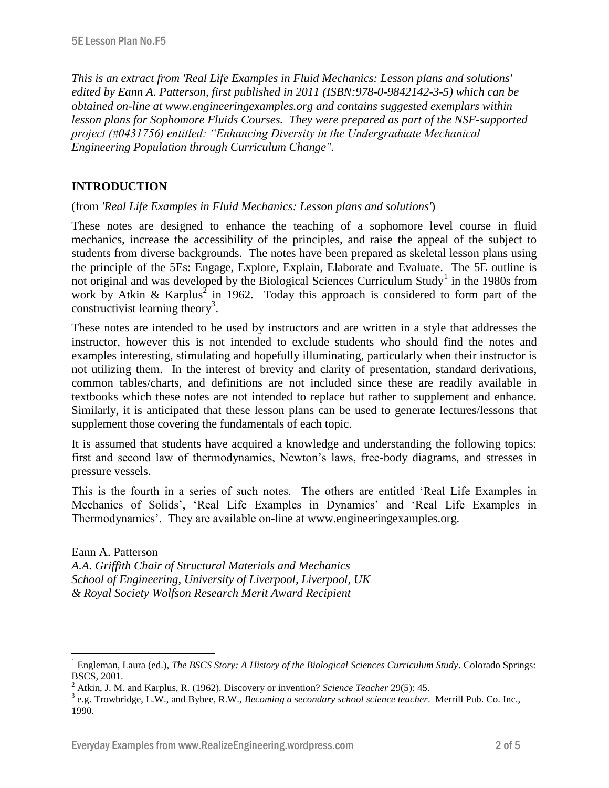*This is an extract from 'Real Life Examples in Fluid Mechanics: Lesson plans and solutions' edited by Eann A. Patterson, first published in 2011 (ISBN:978-0-9842142-3-5) which can be obtained on-line at www.engineeringexamples.org and contains suggested exemplars within lesson plans for Sophomore Fluids Courses. They were prepared as part of the NSF-supported project (#0431756) entitled: "Enhancing Diversity in the Undergraduate Mechanical Engineering Population through Curriculum Change".* 

# **INTRODUCTION**

 $\overline{a}$ 

(from *'Real Life Examples in Fluid Mechanics: Lesson plans and solutions'*)

These notes are designed to enhance the teaching of a sophomore level course in fluid mechanics, increase the accessibility of the principles, and raise the appeal of the subject to students from diverse backgrounds. The notes have been prepared as skeletal lesson plans using the principle of the 5Es: Engage, Explore, Explain, Elaborate and Evaluate. The 5E outline is not original and was developed by the Biological Sciences Curriculum Study<sup>1</sup> in the 1980s from work by Atkin & Karplus<sup>2</sup> in 1962. Today this approach is considered to form part of the constructivist learning theory<sup>3</sup>.

These notes are intended to be used by instructors and are written in a style that addresses the instructor, however this is not intended to exclude students who should find the notes and examples interesting, stimulating and hopefully illuminating, particularly when their instructor is not utilizing them. In the interest of brevity and clarity of presentation, standard derivations, common tables/charts, and definitions are not included since these are readily available in textbooks which these notes are not intended to replace but rather to supplement and enhance. Similarly, it is anticipated that these lesson plans can be used to generate lectures/lessons that supplement those covering the fundamentals of each topic.

It is assumed that students have acquired a knowledge and understanding the following topics: first and second law of thermodynamics, Newton's laws, free-body diagrams, and stresses in pressure vessels.

This is the fourth in a series of such notes. The others are entitled 'Real Life Examples in Mechanics of Solids', 'Real Life Examples in Dynamics' and 'Real Life Examples in Thermodynamics'. They are available on-line at www.engineeringexamples.org.

Eann A. Patterson *A.A. Griffith Chair of Structural Materials and Mechanics School of Engineering, University of Liverpool, Liverpool, UK & Royal Society Wolfson Research Merit Award Recipient*

<sup>1</sup> Engleman, Laura (ed.), *The BSCS Story: A History of the Biological Sciences Curriculum Study*. Colorado Springs: BSCS, 2001.

<sup>2</sup> Atkin, J. M. and Karplus, R. (1962). Discovery or invention? *Science Teacher* 29(5): 45.

<sup>3</sup> e.g. Trowbridge, L.W., and Bybee, R.W., *Becoming a secondary school science teacher*. Merrill Pub. Co. Inc., 1990.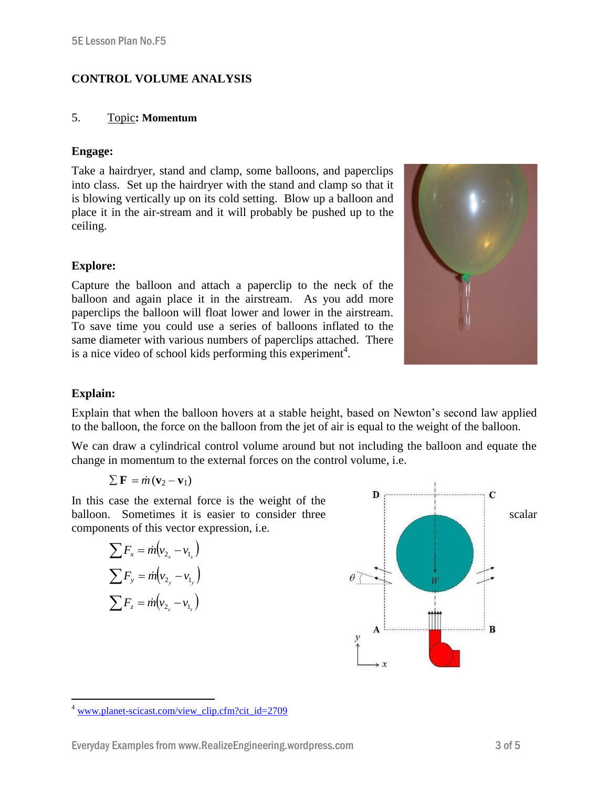# **CONTROL VOLUME ANALYSIS**

### 5. Topic**: Momentum**

## **Engage:**

Take a hairdryer, stand and clamp, some balloons, and paperclips into class. Set up the hairdryer with the stand and clamp so that it is blowing vertically up on its cold setting. Blow up a balloon and place it in the air-stream and it will probably be pushed up to the ceiling.

# **Explore:**

Capture the balloon and attach a paperclip to the neck of the balloon and again place it in the airstream. As you add more paperclips the balloon will float lower and lower in the airstream. To save time you could use a series of balloons inflated to the same diameter with various numbers of paperclips attached. There is a nice video of school kids performing this experiment<sup>4</sup>.



# **Explain:**

Explain that when the balloon hovers at a stable height, based on Newton's second law applied to the balloon, the force on the balloon from the jet of air is equal to the weight of the balloon.

We can draw a cylindrical control volume around but not including the balloon and equate the change in momentum to the external forces on the control volume, i.e.

$$
\sum \mathbf{F} = \dot{m} \left( \mathbf{v}_2 - \mathbf{v}_1 \right)
$$

In this case the external force is the weight of the balloon. Sometimes it is easier to consider three scalar components of this vector expression, i.e.

$$
\sum F_x = \dot{m}(v_{2_x} - v_{1_x})
$$
  

$$
\sum F_y = \dot{m}(v_{2_y} - v_{1_y})
$$
  

$$
\sum F_z = \dot{m}(v_{2_z} - v_{1_z})
$$



 $\overline{a}$  $4$  [www.planet-scicast.com/view\\_clip.cfm?cit\\_id=2709](http://www.planet-scicast.com/view_clip.cfm?cit_id=2709)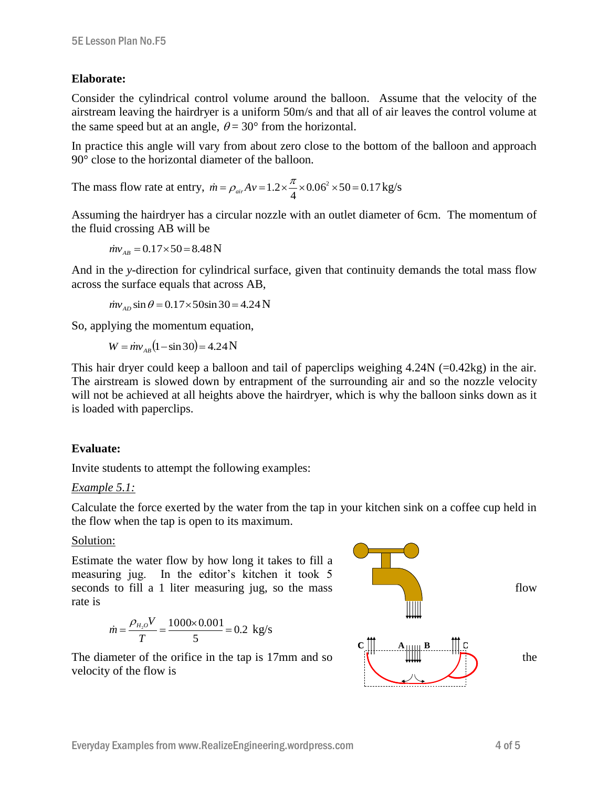#### **Elaborate:**

Consider the cylindrical control volume around the balloon. Assume that the velocity of the airstream leaving the hairdryer is a uniform 50m/s and that all of air leaves the control volume at the same speed but at an angle,  $\theta = 30^{\circ}$  from the horizontal.

In practice this angle will vary from about zero close to the bottom of the balloon and approach 90° close to the horizontal diameter of the balloon.

The mass flow rate at entry,  $\dot{m} = \rho_{air}Av = 1.2 \times \frac{\mu}{2} \times 0.06^2 \times 50 = 0.17$ 4  $\dot{m} = \rho_{air} A v = 1.2 \times \frac{\pi}{4} \times 0.06^2 \times 50 = 0.17 \,\text{kg/s}$ 

Assuming the hairdryer has a circular nozzle with an outlet diameter of 6cm. The momentum of the fluid crossing AB will be

 $\dot{m}v_{AB} = 0.17 \times 50 = 8.48 \text{ N}$ 

And in the *y*-direction for cylindrical surface, given that continuity demands the total mass flow across the surface equals that across AB,

 $\dot{m}v_{AD}$  sin  $\theta$  = 0.17 × 50sin 30 = 4.24 N

So, applying the momentum equation,

 $W = \dot{m}v_{AB}(1 - \sin 30) = 4.24 \text{ N}$ 

This hair dryer could keep a balloon and tail of paperclips weighing  $4.24N$  (=0.42kg) in the air. The airstream is slowed down by entrapment of the surrounding air and so the nozzle velocity will not be achieved at all heights above the hairdryer, which is why the balloon sinks down as it is loaded with paperclips.

#### **Evaluate:**

Invite students to attempt the following examples:

#### *Example 5.1:*

Calculate the force exerted by the water from the tap in your kitchen sink on a coffee cup held in the flow when the tap is open to its maximum.

#### Solution:

Estimate the water flow by how long it takes to fill a measuring jug. In the editor's kitchen it took 5 seconds to fill a 1 liter measuring jug, so the mass flow rate is

$$
\dot{m} = \frac{\rho_{H_2O} V}{T} = \frac{1000 \times 0.001}{5} = 0.2 \text{ kg/s}
$$

The diameter of the orifice in the tap is 17mm and so  $\|\cdot\|$   $\|\cdot\|$  the velocity of the flow is